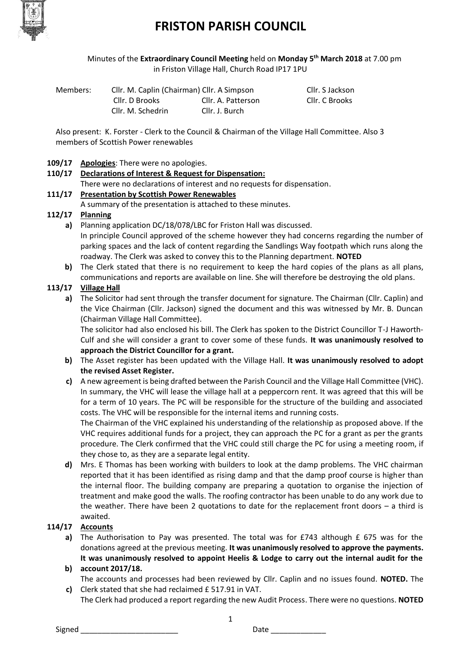

# **FRISTON PARISH COUNCIL**

Minutes of the **Extraordinary Council Meeting** held on **Monday 5 th March 2018** at 7.00 pm in Friston Village Hall, Church Road IP17 1PU

| Members: | Cllr. M. Caplin (Chairman) Cllr. A Simpson |                    | Cllr. S Jackson |
|----------|--------------------------------------------|--------------------|-----------------|
|          | Cllr. D Brooks                             | Cllr. A. Patterson | Cllr. C Brooks  |
|          | Cllr. M. Schedrin                          | Cllr. J. Burch     |                 |

Also present: K. Forster - Clerk to the Council & Chairman of the Village Hall Committee. Also 3 members of Scottish Power renewables

### **109/17 Apologies**: There were no apologies.

# **110/17 Declarations of Interest & Request for Dispensation:**

There were no declarations of interest and no requests for dispensation.

## **111/17 Presentation by Scottish Power Renewables**

A summary of the presentation is attached to these minutes.

## **112/17 Planning**

**a)** Planning application DC/18/078/LBC for Friston Hall was discussed. In principle Council approved of the scheme however they had concerns regarding the number of parking spaces and the lack of content regarding the Sandlings Way footpath which runs along the roadway. The Clerk was asked to convey this to the Planning department. **NOTED**

**b)** The Clerk stated that there is no requirement to keep the hard copies of the plans as all plans, communications and reports are available on line. She will therefore be destroying the old plans.

# **113/17 Village Hall**

**a)** The Solicitor had sent through the transfer document for signature. The Chairman (Cllr. Caplin) and the Vice Chairman (Cllr. Jackson) signed the document and this was witnessed by Mr. B. Duncan (Chairman Village Hall Committee).

The solicitor had also enclosed his bill. The Clerk has spoken to the District Councillor T-J Haworth-Culf and she will consider a grant to cover some of these funds. **It was unanimously resolved to approach the District Councillor for a grant.** 

- **b)** The Asset register has been updated with the Village Hall. **It was unanimously resolved to adopt the revised Asset Register.**
- **c)** A new agreement is being drafted between the Parish Council and the Village Hall Committee (VHC). In summary, the VHC will lease the village hall at a peppercorn rent. It was agreed that this will be for a term of 10 years. The PC will be responsible for the structure of the building and associated costs. The VHC will be responsible for the internal items and running costs.

The Chairman of the VHC explained his understanding of the relationship as proposed above. If the VHC requires additional funds for a project, they can approach the PC for a grant as per the grants procedure. The Clerk confirmed that the VHC could still charge the PC for using a meeting room, if they chose to, as they are a separate legal entity.

**d)** Mrs. E Thomas has been working with builders to look at the damp problems. The VHC chairman reported that it has been identified as rising damp and that the damp proof course is higher than the internal floor. The building company are preparing a quotation to organise the injection of treatment and make good the walls. The roofing contractor has been unable to do any work due to the weather. There have been 2 quotations to date for the replacement front doors – a third is awaited.

# **114/17 Accounts**

- **a)** The Authorisation to Pay was presented. The total was for £743 although £ 675 was for the **b) account 2017/18.** donations agreed at the previous meeting. **It was unanimously resolved to approve the payments. It was unanimously resolved to appoint Heelis & Lodge to carry out the internal audit for the**
- **c)** Clerk stated that she had reclaimed £ 517.91 in VAT. The accounts and processes had been reviewed by Cllr. Caplin and no issues found. **NOTED.** The

The Clerk had produced a report regarding the new Audit Process. There were no questions. **NOTED**

1

Signed \_\_\_\_\_\_\_\_\_\_\_\_\_\_\_\_\_\_\_\_\_\_\_ Date \_\_\_\_\_\_\_\_\_\_\_\_\_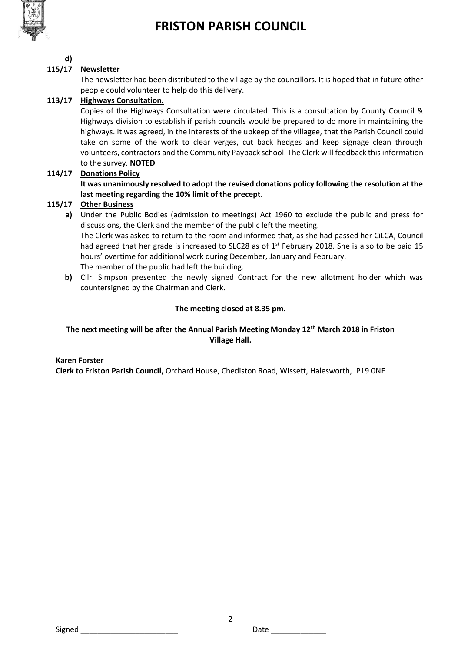

# **FRISTON PARISH COUNCIL**

#### **d) 115/17 Newsletter**

The newsletter had been distributed to the village by the councillors. It is hoped that in future other people could volunteer to help do this delivery.

# **113/17 Highways Consultation.**

Copies of the Highways Consultation were circulated. This is a consultation by County Council & Highways division to establish if parish councils would be prepared to do more in maintaining the highways. It was agreed, in the interests of the upkeep of the villagee, that the Parish Council could take on some of the work to clear verges, cut back hedges and keep signage clean through volunteers, contractors and the Community Payback school. The Clerk will feedback this information to the survey. **NOTED**

## **114/17 Donations Policy**

**It was unanimously resolved to adopt the revised donations policy following the resolution at the last meeting regarding the 10% limit of the precept.**

# **115/17 Other Business**

**a)** Under the Public Bodies (admission to meetings) Act 1960 to exclude the public and press for discussions, the Clerk and the member of the public left the meeting. The Clerk was asked to return to the room and informed that, as she had passed her CiLCA, Council

had agreed that her grade is increased to SLC28 as of  $1<sup>st</sup>$  February 2018. She is also to be paid 15 hours' overtime for additional work during December, January and February. The member of the public had left the building.

**b)** Cllr. Simpson presented the newly signed Contract for the new allotment holder which was countersigned by the Chairman and Clerk.

## **The meeting closed at 8.35 pm.**

# **The next meeting will be after the Annual Parish Meeting Monday 12th March 2018 in Friston Village Hall.**

### **Karen Forster**

**Clerk to Friston Parish Council,** Orchard House, Chediston Road, Wissett, Halesworth, IP19 0NF

Signed \_\_\_\_\_\_\_\_\_\_\_\_\_\_\_\_\_\_\_\_\_\_\_ Date \_\_\_\_\_\_\_\_\_\_\_\_\_

2